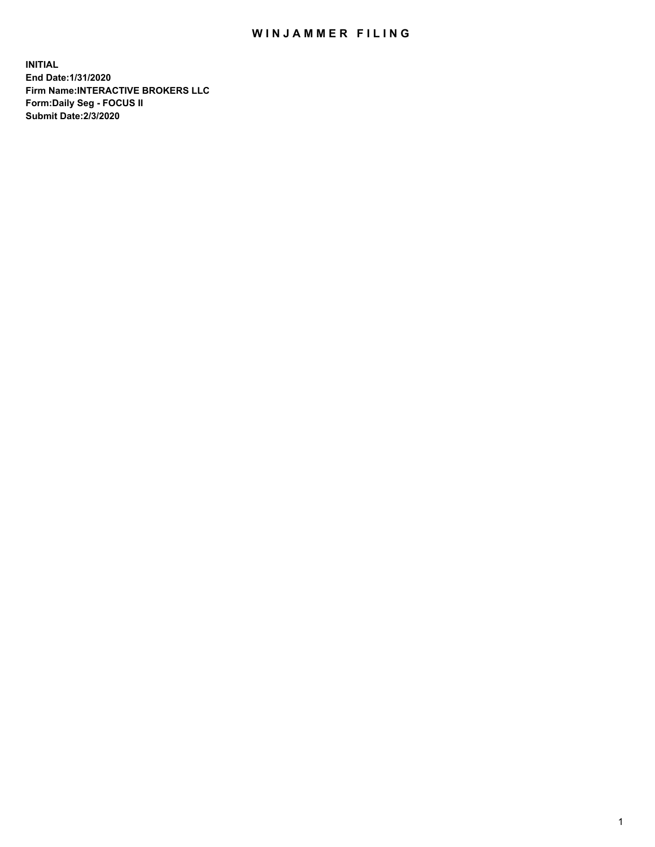## WIN JAMMER FILING

**INITIAL End Date:1/31/2020 Firm Name:INTERACTIVE BROKERS LLC Form:Daily Seg - FOCUS II Submit Date:2/3/2020**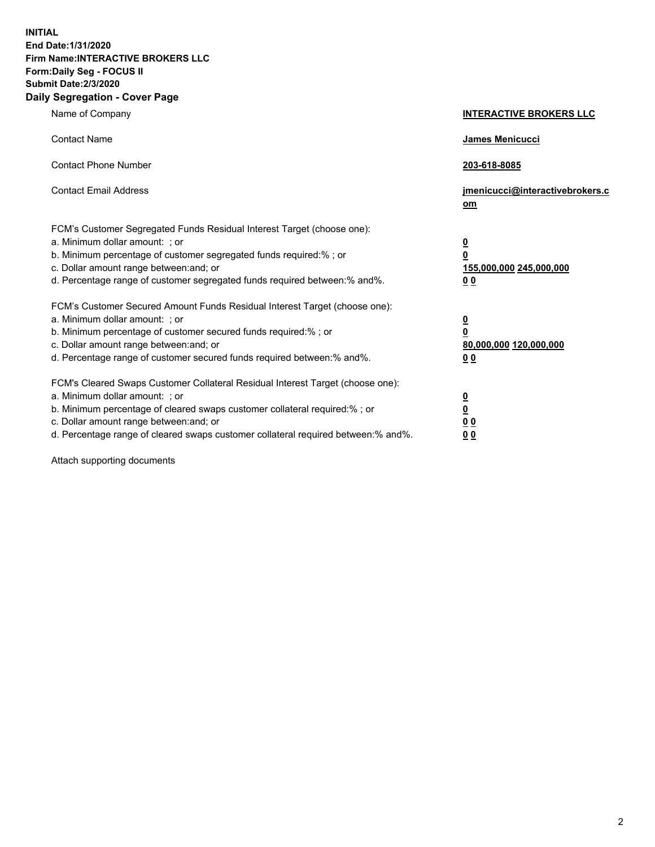**INITIAL End Date:1/31/2020 Firm Name:INTERACTIVE BROKERS LLC Form:Daily Seg - FOCUS II Submit Date:2/3/2020 Daily Segregation - Cover Page**

| Name of Company                                                                                                                                                                                                                                                                                                                | <b>INTERACTIVE BROKERS LLC</b>                                                     |
|--------------------------------------------------------------------------------------------------------------------------------------------------------------------------------------------------------------------------------------------------------------------------------------------------------------------------------|------------------------------------------------------------------------------------|
| <b>Contact Name</b>                                                                                                                                                                                                                                                                                                            | James Menicucci                                                                    |
| <b>Contact Phone Number</b>                                                                                                                                                                                                                                                                                                    | 203-618-8085                                                                       |
| <b>Contact Email Address</b>                                                                                                                                                                                                                                                                                                   | jmenicucci@interactivebrokers.c<br>om                                              |
| FCM's Customer Segregated Funds Residual Interest Target (choose one):<br>a. Minimum dollar amount: ; or<br>b. Minimum percentage of customer segregated funds required:% ; or<br>c. Dollar amount range between: and; or<br>d. Percentage range of customer segregated funds required between:% and%.                         | $\overline{\mathbf{0}}$<br>0<br>155,000,000 245,000,000<br>00                      |
| FCM's Customer Secured Amount Funds Residual Interest Target (choose one):<br>a. Minimum dollar amount: ; or<br>b. Minimum percentage of customer secured funds required:% ; or<br>c. Dollar amount range between: and; or<br>d. Percentage range of customer secured funds required between:% and%.                           | $\overline{\mathbf{0}}$<br>$\mathbf 0$<br>80,000,000 120,000,000<br>0 <sub>0</sub> |
| FCM's Cleared Swaps Customer Collateral Residual Interest Target (choose one):<br>a. Minimum dollar amount: ; or<br>b. Minimum percentage of cleared swaps customer collateral required:% ; or<br>c. Dollar amount range between: and; or<br>d. Percentage range of cleared swaps customer collateral required between:% and%. | $\overline{\mathbf{0}}$<br><u>0</u><br>0 <sub>0</sub><br>0 <sub>0</sub>            |

Attach supporting documents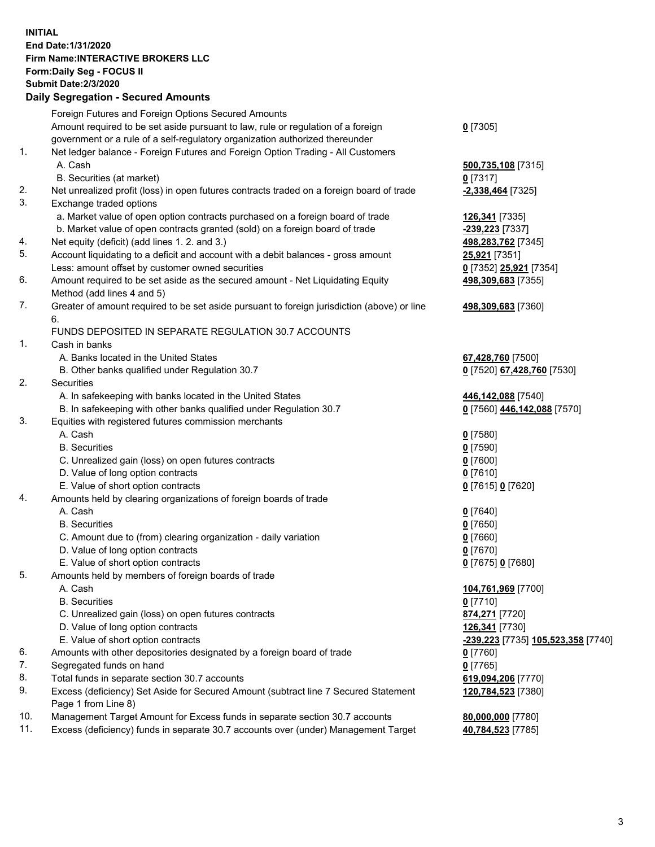## **INITIAL End Date:1/31/2020 Firm Name:INTERACTIVE BROKERS LLC Form:Daily Seg - FOCUS II Submit Date:2/3/2020 Daily Segregation - Secured Amounts**

|     | Daily Ocglegation - Occured Anioants                                                                       |                                    |
|-----|------------------------------------------------------------------------------------------------------------|------------------------------------|
|     | Foreign Futures and Foreign Options Secured Amounts                                                        |                                    |
|     | Amount required to be set aside pursuant to law, rule or regulation of a foreign                           | $0$ [7305]                         |
|     | government or a rule of a self-regulatory organization authorized thereunder                               |                                    |
| 1.  | Net ledger balance - Foreign Futures and Foreign Option Trading - All Customers                            |                                    |
|     | A. Cash                                                                                                    | 500,735,108 [7315]                 |
|     | B. Securities (at market)                                                                                  | $0$ [7317]                         |
| 2.  | Net unrealized profit (loss) in open futures contracts traded on a foreign board of trade                  | -2,338,464 [7325]                  |
| 3.  | Exchange traded options                                                                                    |                                    |
|     | a. Market value of open option contracts purchased on a foreign board of trade                             | 126,341 [7335]                     |
|     | b. Market value of open contracts granted (sold) on a foreign board of trade                               | -239,223 [7337]                    |
| 4.  | Net equity (deficit) (add lines 1.2. and 3.)                                                               | 498,283,762 [7345]                 |
| 5.  | Account liquidating to a deficit and account with a debit balances - gross amount                          | 25,921 [7351]                      |
|     | Less: amount offset by customer owned securities                                                           | 0 [7352] 25,921 [7354]             |
| 6.  | Amount required to be set aside as the secured amount - Net Liquidating Equity                             | 498,309,683 [7355]                 |
|     | Method (add lines 4 and 5)                                                                                 |                                    |
| 7.  | Greater of amount required to be set aside pursuant to foreign jurisdiction (above) or line                | 498,309,683 [7360]                 |
|     | 6.                                                                                                         |                                    |
|     | FUNDS DEPOSITED IN SEPARATE REGULATION 30.7 ACCOUNTS                                                       |                                    |
| 1.  | Cash in banks                                                                                              |                                    |
|     | A. Banks located in the United States                                                                      | 67,428,760 [7500]                  |
|     | B. Other banks qualified under Regulation 30.7                                                             | 0 [7520] 67,428,760 [7530]         |
| 2.  | Securities                                                                                                 |                                    |
|     | A. In safekeeping with banks located in the United States                                                  | 446,142,088 [7540]                 |
|     | B. In safekeeping with other banks qualified under Regulation 30.7                                         | 0 [7560] 446,142,088 [7570]        |
| 3.  | Equities with registered futures commission merchants                                                      |                                    |
|     | A. Cash                                                                                                    | $0$ [7580]                         |
|     | <b>B.</b> Securities                                                                                       | $0$ [7590]                         |
|     | C. Unrealized gain (loss) on open futures contracts                                                        | $0$ [7600]                         |
|     | D. Value of long option contracts                                                                          | $0$ [7610]                         |
|     | E. Value of short option contracts                                                                         | 0 [7615] 0 [7620]                  |
| 4.  | Amounts held by clearing organizations of foreign boards of trade                                          |                                    |
|     | A. Cash                                                                                                    | $0$ [7640]                         |
|     | <b>B.</b> Securities                                                                                       | $0$ [7650]                         |
|     | C. Amount due to (from) clearing organization - daily variation                                            | $0$ [7660]                         |
|     | D. Value of long option contracts                                                                          | $0$ [7670]                         |
|     | E. Value of short option contracts                                                                         | 0 [7675] 0 [7680]                  |
| 5.  | Amounts held by members of foreign boards of trade                                                         |                                    |
|     | A. Cash                                                                                                    | 104,761,969 [7700]                 |
|     | <b>B.</b> Securities                                                                                       | $0$ [7710]                         |
|     | C. Unrealized gain (loss) on open futures contracts                                                        | 874,271 [7720]                     |
|     | D. Value of long option contracts                                                                          | 126,341 [7730]                     |
|     | E. Value of short option contracts                                                                         | -239,223 [7735] 105,523,358 [7740] |
| 6.  | Amounts with other depositories designated by a foreign board of trade                                     | 0 [7760]                           |
| 7.  | Segregated funds on hand                                                                                   | $0$ [7765]                         |
| 8.  | Total funds in separate section 30.7 accounts                                                              | 619,094,206 [7770]                 |
| 9.  | Excess (deficiency) Set Aside for Secured Amount (subtract line 7 Secured Statement<br>Page 1 from Line 8) | 120,784,523 [7380]                 |
| 10. | Management Target Amount for Excess funds in separate section 30.7 accounts                                | 80,000,000 [7780]                  |
| 11. | Excess (deficiency) funds in separate 30.7 accounts over (under) Management Target                         | 40,784,523 [7785]                  |
|     |                                                                                                            |                                    |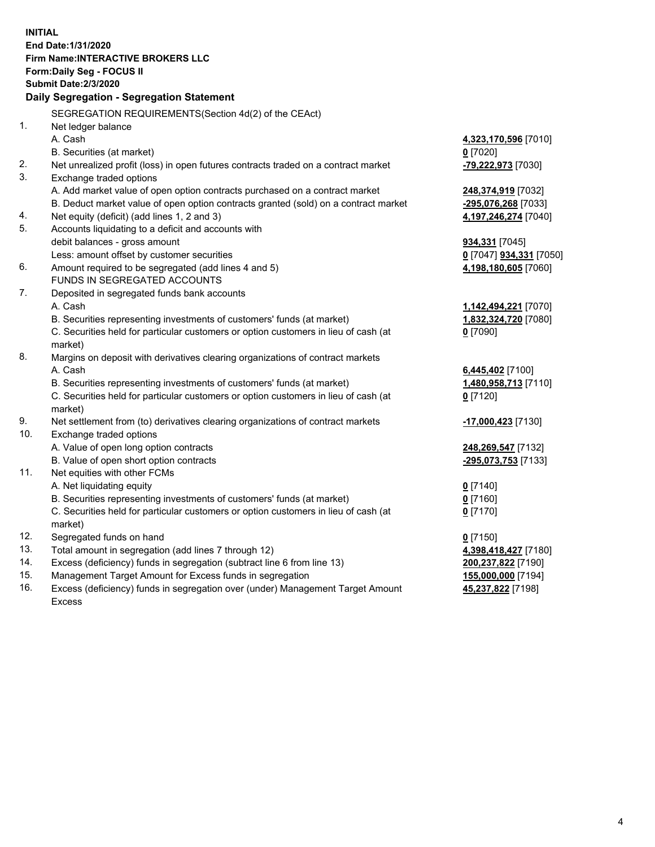**INITIAL End Date:1/31/2020 Firm Name:INTERACTIVE BROKERS LLC Form:Daily Seg - FOCUS II Submit Date:2/3/2020 Daily Segregation - Segregation Statement** SEGREGATION REQUIREMENTS(Section 4d(2) of the CEAct) 1. Net ledger balance A. Cash **4,323,170,596** [7010] B. Securities (at market) **0** [7020] 2. Net unrealized profit (loss) in open futures contracts traded on a contract market **-79,222,973** [7030] 3. Exchange traded options A. Add market value of open option contracts purchased on a contract market **248,374,919** [7032] B. Deduct market value of open option contracts granted (sold) on a contract market **-295,076,268** [7033] 4. Net equity (deficit) (add lines 1, 2 and 3) **4,197,246,274** [7040] 5. Accounts liquidating to a deficit and accounts with debit balances - gross amount **934,331** [7045] Less: amount offset by customer securities **0** [7047] **934,331** [7050] 6. Amount required to be segregated (add lines 4 and 5) **4,198,180,605** [7060] FUNDS IN SEGREGATED ACCOUNTS 7. Deposited in segregated funds bank accounts A. Cash **1,142,494,221** [7070] B. Securities representing investments of customers' funds (at market) **1,832,324,720** [7080] C. Securities held for particular customers or option customers in lieu of cash (at market) **0** [7090] 8. Margins on deposit with derivatives clearing organizations of contract markets A. Cash **6,445,402** [7100] B. Securities representing investments of customers' funds (at market) **1,480,958,713** [7110] C. Securities held for particular customers or option customers in lieu of cash (at market) **0** [7120] 9. Net settlement from (to) derivatives clearing organizations of contract markets **-17,000,423** [7130] 10. Exchange traded options A. Value of open long option contracts **248,269,547** [7132] B. Value of open short option contracts **-295,073,753** [7133] 11. Net equities with other FCMs A. Net liquidating equity **0** [7140] B. Securities representing investments of customers' funds (at market) **0** [7160] C. Securities held for particular customers or option customers in lieu of cash (at market) **0** [7170] 12. Segregated funds on hand **0** [7150] 13. Total amount in segregation (add lines 7 through 12) **4,398,418,427** [7180] 14. Excess (deficiency) funds in segregation (subtract line 6 from line 13) **200,237,822** [7190] 15. Management Target Amount for Excess funds in segregation **155,000,000** [7194] **45,237,822** [7198]

16. Excess (deficiency) funds in segregation over (under) Management Target Amount Excess